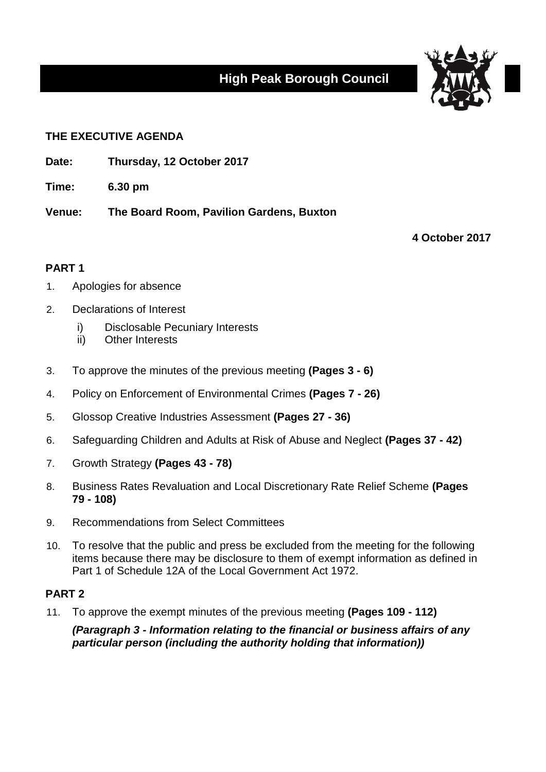# **High Peak Borough Council**



## **THE EXECUTIVE AGENDA**

- **Date: Thursday, 12 October 2017**
- **Time: 6.30 pm**

**Venue: The Board Room, Pavilion Gardens, Buxton**

**4 October 2017**

### **PART 1**

- 1. Apologies for absence
- 2. Declarations of Interest
	- i) Disclosable Pecuniary Interests
	- ii) Other Interests
- 3. To approve the minutes of the previous meeting **(Pages 3 - 6)**
- 4. Policy on Enforcement of Environmental Crimes **(Pages 7 - 26)**
- 5. Glossop Creative Industries Assessment **(Pages 27 - 36)**
- 6. Safeguarding Children and Adults at Risk of Abuse and Neglect **(Pages 37 - 42)**
- 7. Growth Strategy **(Pages 43 - 78)**
- 8. Business Rates Revaluation and Local Discretionary Rate Relief Scheme **(Pages 79 - 108)**
- 9. Recommendations from Select Committees
- 10. To resolve that the public and press be excluded from the meeting for the following items because there may be disclosure to them of exempt information as defined in Part 1 of Schedule 12A of the Local Government Act 1972.

### **PART 2**

11. To approve the exempt minutes of the previous meeting **(Pages 109 - 112)**

*(Paragraph 3 - Information relating to the financial or business affairs of any particular person (including the authority holding that information))*